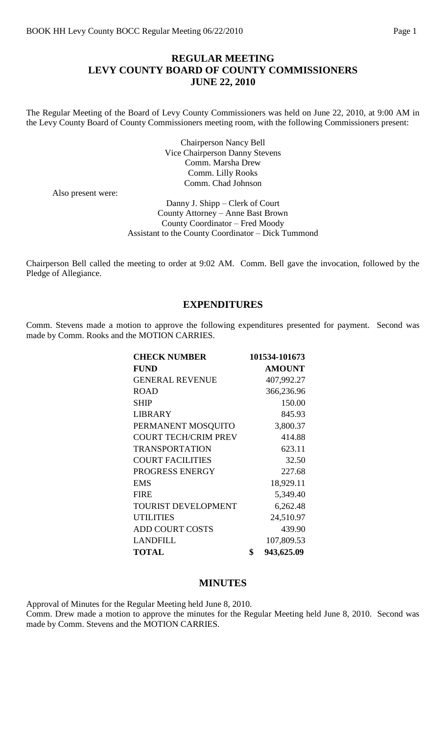# **REGULAR MEETING LEVY COUNTY BOARD OF COUNTY COMMISSIONERS JUNE 22, 2010**

The Regular Meeting of the Board of Levy County Commissioners was held on June 22, 2010, at 9:00 AM in the Levy County Board of County Commissioners meeting room, with the following Commissioners present:

> Chairperson Nancy Bell Vice Chairperson Danny Stevens Comm. Marsha Drew Comm. Lilly Rooks Comm. Chad Johnson

Also present were:

Danny J. Shipp – Clerk of Court County Attorney – Anne Bast Brown County Coordinator – Fred Moody Assistant to the County Coordinator – Dick Tummond

Chairperson Bell called the meeting to order at 9:02 AM. Comm. Bell gave the invocation, followed by the Pledge of Allegiance.

## **EXPENDITURES**

Comm. Stevens made a motion to approve the following expenditures presented for payment. Second was made by Comm. Rooks and the MOTION CARRIES.

| <b>CHECK NUMBER</b>         | 101534-101673    |
|-----------------------------|------------------|
| <b>FUND</b>                 | <b>AMOUNT</b>    |
| <b>GENERAL REVENUE</b>      | 407,992.27       |
| <b>ROAD</b>                 | 366,236.96       |
| <b>SHIP</b>                 | 150.00           |
| <b>LIBRARY</b>              | 845.93           |
| PERMANENT MOSQUITO          | 3,800.37         |
| <b>COURT TECH/CRIM PREV</b> | 414.88           |
| <b>TRANSPORTATION</b>       | 623.11           |
| <b>COURT FACILITIES</b>     | 32.50            |
| PROGRESS ENERGY             | 227.68           |
| <b>EMS</b>                  | 18,929.11        |
| <b>FIRE</b>                 | 5,349.40         |
| <b>TOURIST DEVELOPMENT</b>  | 6,262.48         |
| <b>UTILITIES</b>            | 24,510.97        |
| <b>ADD COURT COSTS</b>      | 439.90           |
| <b>LANDFILL</b>             | 107,809.53       |
| <b>TOTAL</b>                | \$<br>943,625.09 |

## **MINUTES**

Approval of Minutes for the Regular Meeting held June 8, 2010.

Comm. Drew made a motion to approve the minutes for the Regular Meeting held June 8, 2010. Second was made by Comm. Stevens and the MOTION CARRIES.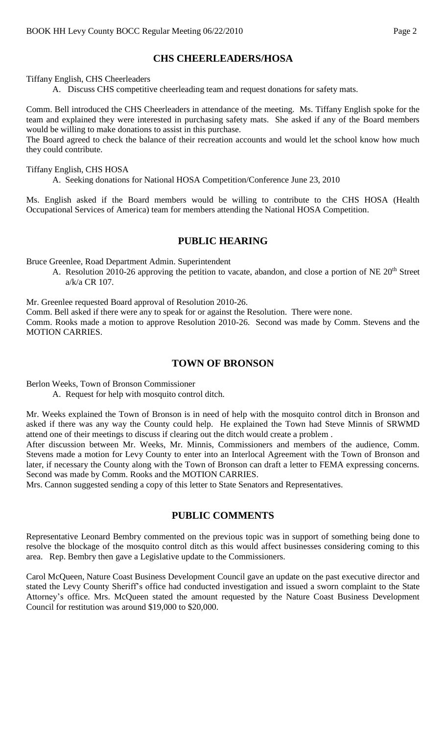# **CHS CHEERLEADERS/HOSA**

Tiffany English, CHS Cheerleaders

A. Discuss CHS competitive cheerleading team and request donations for safety mats.

Comm. Bell introduced the CHS Cheerleaders in attendance of the meeting. Ms. Tiffany English spoke for the team and explained they were interested in purchasing safety mats. She asked if any of the Board members would be willing to make donations to assist in this purchase.

The Board agreed to check the balance of their recreation accounts and would let the school know how much they could contribute.

Tiffany English, CHS HOSA

A. Seeking donations for National HOSA Competition/Conference June 23, 2010

Ms. English asked if the Board members would be willing to contribute to the CHS HOSA (Health Occupational Services of America) team for members attending the National HOSA Competition.

#### **PUBLIC HEARING**

Bruce Greenlee, Road Department Admin. Superintendent

A. Resolution 2010-26 approving the petition to vacate, abandon, and close a portion of NE 20<sup>th</sup> Street a/k/a CR 107.

Mr. Greenlee requested Board approval of Resolution 2010-26.

Comm. Bell asked if there were any to speak for or against the Resolution. There were none.

Comm. Rooks made a motion to approve Resolution 2010-26. Second was made by Comm. Stevens and the MOTION CARRIES.

## **TOWN OF BRONSON**

Berlon Weeks, Town of Bronson Commissioner

A. Request for help with mosquito control ditch.

Mr. Weeks explained the Town of Bronson is in need of help with the mosquito control ditch in Bronson and asked if there was any way the County could help. He explained the Town had Steve Minnis of SRWMD attend one of their meetings to discuss if clearing out the ditch would create a problem .

After discussion between Mr. Weeks, Mr. Minnis, Commissioners and members of the audience, Comm. Stevens made a motion for Levy County to enter into an Interlocal Agreement with the Town of Bronson and later, if necessary the County along with the Town of Bronson can draft a letter to FEMA expressing concerns. Second was made by Comm. Rooks and the MOTION CARRIES.

Mrs. Cannon suggested sending a copy of this letter to State Senators and Representatives.

# **PUBLIC COMMENTS**

Representative Leonard Bembry commented on the previous topic was in support of something being done to resolve the blockage of the mosquito control ditch as this would affect businesses considering coming to this area. Rep. Bembry then gave a Legislative update to the Commissioners.

Carol McQueen, Nature Coast Business Development Council gave an update on the past executive director and stated the Levy County Sheriff's office had conducted investigation and issued a sworn complaint to the State Attorney's office. Mrs. McQueen stated the amount requested by the Nature Coast Business Development Council for restitution was around \$19,000 to \$20,000.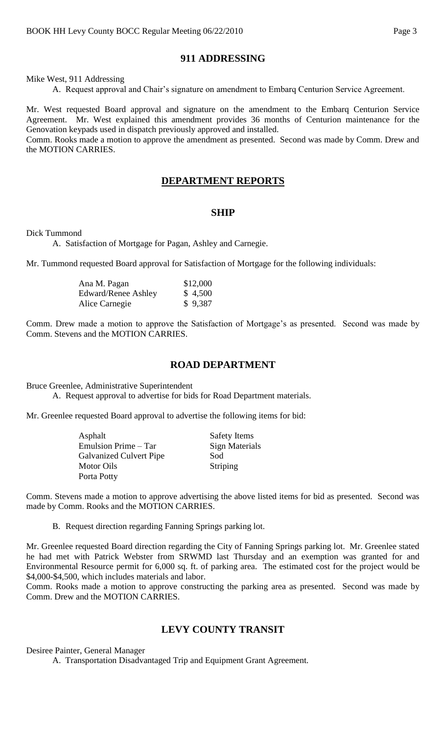# **911 ADDRESSING**

Mike West, 911 Addressing

A. Request approval and Chair's signature on amendment to Embarq Centurion Service Agreement.

Mr. West requested Board approval and signature on the amendment to the Embarq Centurion Service Agreement. Mr. West explained this amendment provides 36 months of Centurion maintenance for the Genovation keypads used in dispatch previously approved and installed.

Comm. Rooks made a motion to approve the amendment as presented. Second was made by Comm. Drew and the MOTION CARRIES.

### **DEPARTMENT REPORTS**

#### **SHIP**

Dick Tummond

A. Satisfaction of Mortgage for Pagan, Ashley and Carnegie.

Mr. Tummond requested Board approval for Satisfaction of Mortgage for the following individuals:

| Ana M. Pagan        | \$12,000 |
|---------------------|----------|
| Edward/Renee Ashley | \$4,500  |
| Alice Carnegie      | \$9,387  |

Comm. Drew made a motion to approve the Satisfaction of Mortgage's as presented. Second was made by Comm. Stevens and the MOTION CARRIES.

#### **ROAD DEPARTMENT**

Bruce Greenlee, Administrative Superintendent

A. Request approval to advertise for bids for Road Department materials.

Mr. Greenlee requested Board approval to advertise the following items for bid:

| Asphalt                        | <b>Safety Items</b> |
|--------------------------------|---------------------|
| Emulsion Prime – Tar           | Sign Materials      |
| <b>Galvanized Culvert Pipe</b> | Sod                 |
| Motor Oils                     | Striping            |
| Porta Potty                    |                     |

Comm. Stevens made a motion to approve advertising the above listed items for bid as presented. Second was made by Comm. Rooks and the MOTION CARRIES.

B. Request direction regarding Fanning Springs parking lot.

Mr. Greenlee requested Board direction regarding the City of Fanning Springs parking lot. Mr. Greenlee stated he had met with Patrick Webster from SRWMD last Thursday and an exemption was granted for and Environmental Resource permit for 6,000 sq. ft. of parking area. The estimated cost for the project would be \$4,000-\$4,500, which includes materials and labor.

Comm. Rooks made a motion to approve constructing the parking area as presented. Second was made by Comm. Drew and the MOTION CARRIES.

## **LEVY COUNTY TRANSIT**

Desiree Painter, General Manager

A. Transportation Disadvantaged Trip and Equipment Grant Agreement.